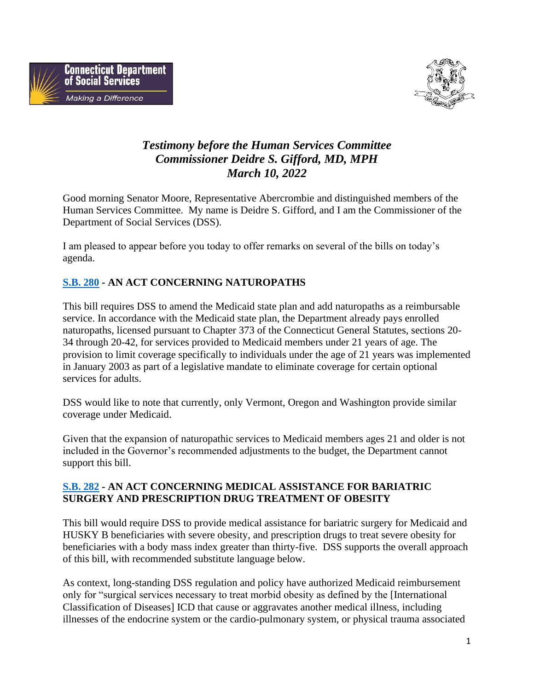



# *Testimony before the Human Services Committee Commissioner Deidre S. Gifford, MD, MPH March 10, 2022*

Good morning Senator Moore, Representative Abercrombie and distinguished members of the Human Services Committee. My name is Deidre S. Gifford, and I am the Commissioner of the Department of Social Services (DSS).

I am pleased to appear before you today to offer remarks on several of the bills on today's agenda.

# **[S.B. 280](https://www.cga.ct.gov/asp/cgabillstatus/cgabillstatus.asp?selBillType=Bill&bill_num=SB-280&uid=david.seifel@ct.gov&which_year=2022) - AN ACT CONCERNING NATUROPATHS**

This bill requires DSS to amend the Medicaid state plan and add naturopaths as a reimbursable service. In accordance with the Medicaid state plan, the Department already pays enrolled naturopaths, licensed pursuant to Chapter 373 of the Connecticut General Statutes, sections 20- 34 through 20-42, for services provided to Medicaid members under 21 years of age. The provision to limit coverage specifically to individuals under the age of 21 years was implemented in January 2003 as part of a legislative mandate to eliminate coverage for certain optional services for adults.

DSS would like to note that currently, only Vermont, Oregon and Washington provide similar coverage under Medicaid.

Given that the expansion of naturopathic services to Medicaid members ages 21 and older is not included in the Governor's recommended adjustments to the budget, the Department cannot support this bill.

# **[S.B. 282](https://www.cga.ct.gov/asp/cgabillstatus/cgabillstatus.asp?selBillType=Bill&bill_num=SB-282&uid=david.seifel@ct.gov&which_year=2022) - AN ACT CONCERNING MEDICAL ASSISTANCE FOR BARIATRIC SURGERY AND PRESCRIPTION DRUG TREATMENT OF OBESITY**

This bill would require DSS to provide medical assistance for bariatric surgery for Medicaid and HUSKY B beneficiaries with severe obesity, and prescription drugs to treat severe obesity for beneficiaries with a body mass index greater than thirty-five. DSS supports the overall approach of this bill, with recommended substitute language below.

As context, long-standing DSS regulation and policy have authorized Medicaid reimbursement only for "surgical services necessary to treat morbid obesity as defined by the [International Classification of Diseases] ICD that cause or aggravates another medical illness, including illnesses of the endocrine system or the cardio-pulmonary system, or physical trauma associated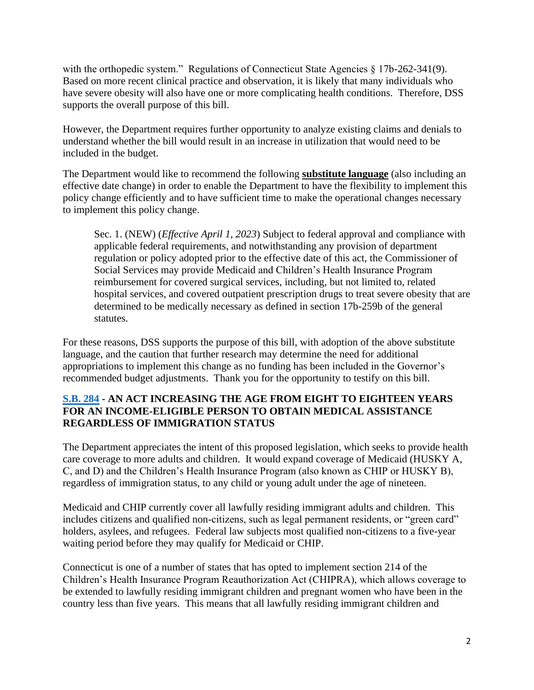with the orthopedic system." Regulations of Connecticut State Agencies § 17b-262-341(9). Based on more recent clinical practice and observation, it is likely that many individuals who have severe obesity will also have one or more complicating health conditions. Therefore, DSS supports the overall purpose of this bill.

However, the Department requires further opportunity to analyze existing claims and denials to understand whether the bill would result in an increase in utilization that would need to be included in the budget.

The Department would like to recommend the following **substitute language** (also including an effective date change) in order to enable the Department to have the flexibility to implement this policy change efficiently and to have sufficient time to make the operational changes necessary to implement this policy change.

Sec. 1. (NEW) (*Effective April 1, 2023*) Subject to federal approval and compliance with applicable federal requirements, and notwithstanding any provision of department regulation or policy adopted prior to the effective date of this act, the Commissioner of Social Services may provide Medicaid and Children's Health Insurance Program reimbursement for covered surgical services, including, but not limited to, related hospital services, and covered outpatient prescription drugs to treat severe obesity that are determined to be medically necessary as defined in section 17b-259b of the general statutes.

For these reasons, DSS supports the purpose of this bill, with adoption of the above substitute language, and the caution that further research may determine the need for additional appropriations to implement this change as no funding has been included in the Governor's recommended budget adjustments. Thank you for the opportunity to testify on this bill.

#### **[S.B. 284](https://www.cga.ct.gov/asp/cgabillstatus/cgabillstatus.asp?selBillType=Bill&bill_num=SB-284&uid=david.seifel@ct.gov&which_year=2022) - AN ACT INCREASING THE AGE FROM EIGHT TO EIGHTEEN YEARS FOR AN INCOME-ELIGIBLE PERSON TO OBTAIN MEDICAL ASSISTANCE REGARDLESS OF IMMIGRATION STATUS**

The Department appreciates the intent of this proposed legislation, which seeks to provide health care coverage to more adults and children. It would expand coverage of Medicaid (HUSKY A, C, and D) and the Children's Health Insurance Program (also known as CHIP or HUSKY B), regardless of immigration status, to any child or young adult under the age of nineteen.

Medicaid and CHIP currently cover all lawfully residing immigrant adults and children. This includes citizens and qualified non-citizens, such as legal permanent residents, or "green card" holders, asylees, and refugees. Federal law subjects most qualified non-citizens to a five-year waiting period before they may qualify for Medicaid or CHIP.

Connecticut is one of a number of states that has opted to implement section 214 of the Children's Health Insurance Program Reauthorization Act (CHIPRA), which allows coverage to be extended to lawfully residing immigrant children and pregnant women who have been in the country less than five years. This means that all lawfully residing immigrant children and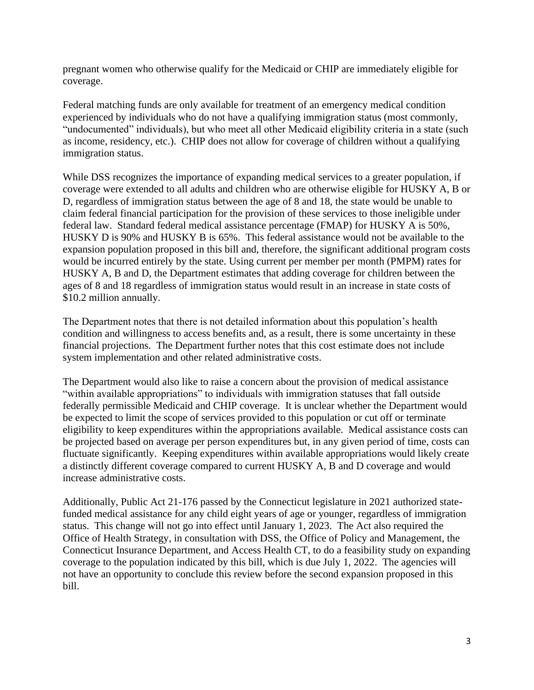pregnant women who otherwise qualify for the Medicaid or CHIP are immediately eligible for coverage.

Federal matching funds are only available for treatment of an emergency medical condition experienced by individuals who do not have a qualifying immigration status (most commonly, "undocumented" individuals), but who meet all other Medicaid eligibility criteria in a state (such as income, residency, etc.). CHIP does not allow for coverage of children without a qualifying immigration status.

While DSS recognizes the importance of expanding medical services to a greater population, if coverage were extended to all adults and children who are otherwise eligible for HUSKY A, B or D, regardless of immigration status between the age of 8 and 18, the state would be unable to claim federal financial participation for the provision of these services to those ineligible under federal law. Standard federal medical assistance percentage (FMAP) for HUSKY A is 50%, HUSKY D is 90% and HUSKY B is 65%. This federal assistance would not be available to the expansion population proposed in this bill and, therefore, the significant additional program costs would be incurred entirely by the state. Using current per member per month (PMPM) rates for HUSKY A, B and D, the Department estimates that adding coverage for children between the ages of 8 and 18 regardless of immigration status would result in an increase in state costs of \$10.2 million annually.

The Department notes that there is not detailed information about this population's health condition and willingness to access benefits and, as a result, there is some uncertainty in these financial projections. The Department further notes that this cost estimate does not include system implementation and other related administrative costs.

The Department would also like to raise a concern about the provision of medical assistance "within available appropriations" to individuals with immigration statuses that fall outside federally permissible Medicaid and CHIP coverage. It is unclear whether the Department would be expected to limit the scope of services provided to this population or cut off or terminate eligibility to keep expenditures within the appropriations available. Medical assistance costs can be projected based on average per person expenditures but, in any given period of time, costs can fluctuate significantly. Keeping expenditures within available appropriations would likely create a distinctly different coverage compared to current HUSKY A, B and D coverage and would increase administrative costs.

Additionally, Public Act 21-176 passed by the Connecticut legislature in 2021 authorized statefunded medical assistance for any child eight years of age or younger, regardless of immigration status. This change will not go into effect until January 1, 2023. The Act also required the Office of Health Strategy, in consultation with DSS, the Office of Policy and Management, the Connecticut Insurance Department, and Access Health CT, to do a feasibility study on expanding coverage to the population indicated by this bill, which is due July 1, 2022. The agencies will not have an opportunity to conclude this review before the second expansion proposed in this bill.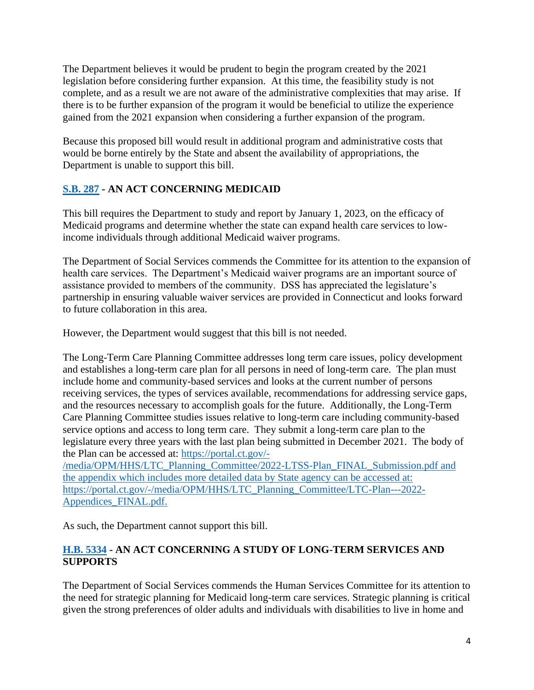The Department believes it would be prudent to begin the program created by the 2021 legislation before considering further expansion. At this time, the feasibility study is not complete, and as a result we are not aware of the administrative complexities that may arise. If there is to be further expansion of the program it would be beneficial to utilize the experience gained from the 2021 expansion when considering a further expansion of the program.

Because this proposed bill would result in additional program and administrative costs that would be borne entirely by the State and absent the availability of appropriations, the Department is unable to support this bill.

# **[S.B. 287](https://www.cga.ct.gov/asp/cgabillstatus/cgabillstatus.asp?selBillType=Bill&bill_num=SB-287&uid=david.seifel@ct.gov&which_year=2022) - AN ACT CONCERNING MEDICAID**

This bill requires the Department to study and report by January 1, 2023, on the efficacy of Medicaid programs and determine whether the state can expand health care services to lowincome individuals through additional Medicaid waiver programs.

The Department of Social Services commends the Committee for its attention to the expansion of health care services. The Department's Medicaid waiver programs are an important source of assistance provided to members of the community. DSS has appreciated the legislature's partnership in ensuring valuable waiver services are provided in Connecticut and looks forward to future collaboration in this area.

However, the Department would suggest that this bill is not needed.

The Long-Term Care Planning Committee addresses long term care issues, policy development and establishes a long-term care plan for all persons in need of long-term care. The plan must include home and community-based services and looks at the current number of persons receiving services, the types of services available, recommendations for addressing service gaps, and the resources necessary to accomplish goals for the future. Additionally, the Long-Term Care Planning Committee studies issues relative to long-term care including community-based service options and access to long term care. They submit a long-term care plan to the legislature every three years with the last plan being submitted in December 2021. The body of the Plan can be accessed at: [https://portal.ct.gov/-](https://portal.ct.gov/-/media/OPM/HHS/LTC_Planning_Committee/2022-LTSS-Plan_FINAL_Submission.pdf) [/media/OPM/HHS/LTC\\_Planning\\_Committee/2022-LTSS-Plan\\_FINAL\\_Submission.pdf](https://portal.ct.gov/-/media/OPM/HHS/LTC_Planning_Committee/2022-LTSS-Plan_FINAL_Submission.pdf) and the appendix which includes more detailed data by State agency can be accessed at:

[https://portal.ct.gov/-/media/OPM/HHS/LTC\\_Planning\\_Committee/LTC-Plan---2022-](https://portal.ct.gov/-/media/OPM/HHS/LTC_Planning_Committee/LTC-Plan---2022-Appendices_FINAL.pdf) [Appendices\\_FINAL.pdf.](https://portal.ct.gov/-/media/OPM/HHS/LTC_Planning_Committee/LTC-Plan---2022-Appendices_FINAL.pdf)

As such, the Department cannot support this bill.

# **[H.B. 5334](https://www.cga.ct.gov/asp/cgabillstatus/cgabillstatus.asp?selBillType=Bill&bill_num=HB-5334&uid=david.seifel@ct.gov) - AN ACT CONCERNING A STUDY OF LONG-TERM SERVICES AND SUPPORTS**

The Department of Social Services commends the Human Services Committee for its attention to the need for strategic planning for Medicaid long-term care services. Strategic planning is critical given the strong preferences of older adults and individuals with disabilities to live in home and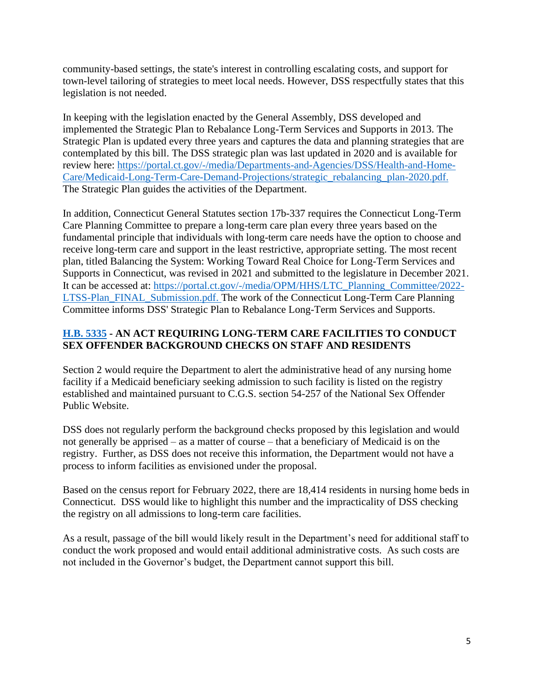community-based settings, the state's interest in controlling escalating costs, and support for town-level tailoring of strategies to meet local needs. However, DSS respectfully states that this legislation is not needed.

In keeping with the legislation enacted by the General Assembly, DSS developed and implemented the Strategic Plan to Rebalance Long-Term Services and Supports in 2013. The Strategic Plan is updated every three years and captures the data and planning strategies that are contemplated by this bill. The DSS strategic plan was last updated in 2020 and is available for review here: [https://portal.ct.gov/-/media/Departments-and-Agencies/DSS/Health-and-Home-](https://portal.ct.gov/-/media/Departments-and-Agencies/DSS/Health-and-Home-Care/Medicaid-Long-Term-Care-Demand-Projections/strategic_rebalancing_plan-2020.pdf)[Care/Medicaid-Long-Term-Care-Demand-Projections/strategic\\_rebalancing\\_plan-2020.pdf.](https://portal.ct.gov/-/media/Departments-and-Agencies/DSS/Health-and-Home-Care/Medicaid-Long-Term-Care-Demand-Projections/strategic_rebalancing_plan-2020.pdf) The Strategic Plan guides the activities of the Department.

In addition, Connecticut General Statutes section 17b-337 requires the Connecticut Long-Term Care Planning Committee to prepare a long-term care plan every three years based on the fundamental principle that individuals with long-term care needs have the option to choose and receive long-term care and support in the least restrictive, appropriate setting. The most recent plan, titled Balancing the System: Working Toward Real Choice for Long-Term Services and Supports in Connecticut, was revised in 2021 and submitted to the legislature in December 2021. It can be accessed at: [https://portal.ct.gov/-/media/OPM/HHS/LTC\\_Planning\\_Committee/2022-](https://portal.ct.gov/-/media/OPM/HHS/LTC_Planning_Committee/2022-LTSS-Plan_FINAL_Submission.pdf) [LTSS-Plan\\_FINAL\\_Submission.pdf.](https://portal.ct.gov/-/media/OPM/HHS/LTC_Planning_Committee/2022-LTSS-Plan_FINAL_Submission.pdf) The work of the Connecticut Long-Term Care Planning Committee informs DSS' Strategic Plan to Rebalance Long-Term Services and Supports.

# **[H.B. 5335](https://www.cga.ct.gov/asp/cgabillstatus/cgabillstatus.asp?selBillType=Bill&bill_num=HB-5335&uid=david.seifel@ct.gov) - AN ACT REQUIRING LONG-TERM CARE FACILITIES TO CONDUCT SEX OFFENDER BACKGROUND CHECKS ON STAFF AND RESIDENTS**

Section 2 would require the Department to alert the administrative head of any nursing home facility if a Medicaid beneficiary seeking admission to such facility is listed on the registry established and maintained pursuant to C.G.S. section 54-257 of the National Sex Offender Public Website.

DSS does not regularly perform the background checks proposed by this legislation and would not generally be apprised – as a matter of course – that a beneficiary of Medicaid is on the registry. Further, as DSS does not receive this information, the Department would not have a process to inform facilities as envisioned under the proposal.

Based on the census report for February 2022, there are 18,414 residents in nursing home beds in Connecticut. DSS would like to highlight this number and the impracticality of DSS checking the registry on all admissions to long-term care facilities.

As a result, passage of the bill would likely result in the Department's need for additional staff to conduct the work proposed and would entail additional administrative costs. As such costs are not included in the Governor's budget, the Department cannot support this bill.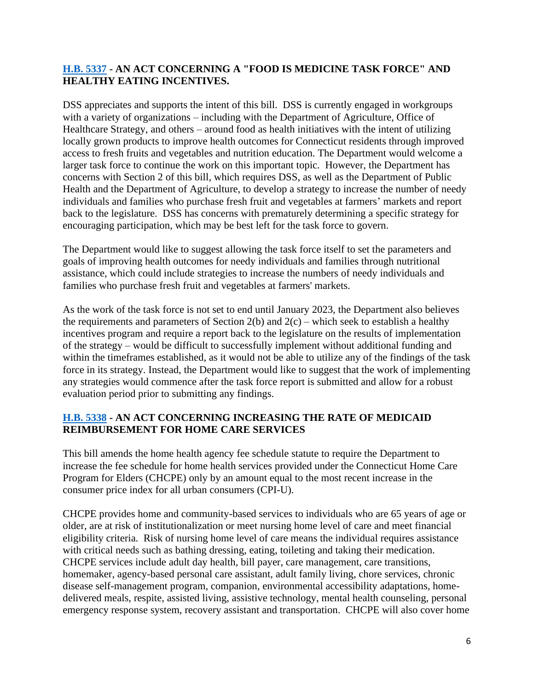#### **[H.B. 5337](https://www.cga.ct.gov/asp/cgabillstatus/cgabillstatus.asp?selBillType=Bill&bill_num=HB-5337&uid=david.seifel@ct.gov) - AN ACT CONCERNING A "FOOD IS MEDICINE TASK FORCE" AND HEALTHY EATING INCENTIVES.**

DSS appreciates and supports the intent of this bill. DSS is currently engaged in workgroups with a variety of organizations – including with the Department of Agriculture, Office of Healthcare Strategy, and others – around food as health initiatives with the intent of utilizing locally grown products to improve health outcomes for Connecticut residents through improved access to fresh fruits and vegetables and nutrition education. The Department would welcome a larger task force to continue the work on this important topic. However, the Department has concerns with Section 2 of this bill, which requires DSS, as well as the Department of Public Health and the Department of Agriculture, to develop a strategy to increase the number of needy individuals and families who purchase fresh fruit and vegetables at farmers' markets and report back to the legislature. DSS has concerns with prematurely determining a specific strategy for encouraging participation, which may be best left for the task force to govern.

The Department would like to suggest allowing the task force itself to set the parameters and goals of improving health outcomes for needy individuals and families through nutritional assistance, which could include strategies to increase the numbers of needy individuals and families who purchase fresh fruit and vegetables at farmers' markets.

As the work of the task force is not set to end until January 2023, the Department also believes the requirements and parameters of Section 2(b) and  $2(c)$  – which seek to establish a healthy incentives program and require a report back to the legislature on the results of implementation of the strategy – would be difficult to successfully implement without additional funding and within the timeframes established, as it would not be able to utilize any of the findings of the task force in its strategy. Instead, the Department would like to suggest that the work of implementing any strategies would commence after the task force report is submitted and allow for a robust evaluation period prior to submitting any findings.

#### **[H.B. 5338](https://www.cga.ct.gov/asp/cgabillstatus/cgabillstatus.asp?selBillType=Bill&bill_num=HB-5338&uid=david.seifel@ct.gov) - AN ACT CONCERNING INCREASING THE RATE OF MEDICAID REIMBURSEMENT FOR HOME CARE SERVICES**

This bill amends the home health agency fee schedule statute to require the Department to increase the fee schedule for home health services provided under the Connecticut Home Care Program for Elders (CHCPE) only by an amount equal to the most recent increase in the consumer price index for all urban consumers (CPI-U).

CHCPE provides home and community-based services to individuals who are 65 years of age or older, are at risk of institutionalization or meet nursing home level of care and meet financial eligibility criteria. Risk of nursing home level of care means the individual requires assistance with critical needs such as bathing dressing, eating, toileting and taking their medication. CHCPE services include adult day health, bill payer, care management, care transitions, homemaker, agency-based personal care assistant, adult family living, chore services, chronic disease self-management program, companion, environmental accessibility adaptations, homedelivered meals, respite, assisted living, assistive technology, mental health counseling, personal emergency response system, recovery assistant and transportation. CHCPE will also cover home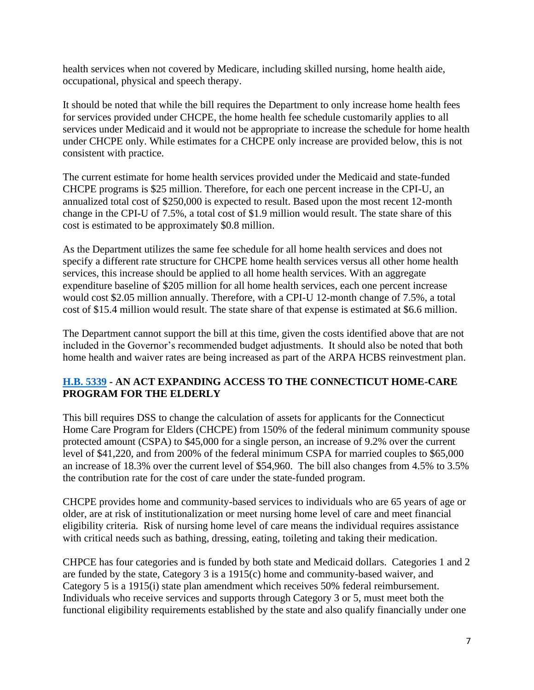health services when not covered by Medicare, including skilled nursing, home health aide, occupational, physical and speech therapy.

It should be noted that while the bill requires the Department to only increase home health fees for services provided under CHCPE, the home health fee schedule customarily applies to all services under Medicaid and it would not be appropriate to increase the schedule for home health under CHCPE only. While estimates for a CHCPE only increase are provided below, this is not consistent with practice.

The current estimate for home health services provided under the Medicaid and state-funded CHCPE programs is \$25 million. Therefore, for each one percent increase in the CPI-U, an annualized total cost of \$250,000 is expected to result. Based upon the most recent 12-month change in the CPI-U of 7.5%, a total cost of \$1.9 million would result. The state share of this cost is estimated to be approximately \$0.8 million.

As the Department utilizes the same fee schedule for all home health services and does not specify a different rate structure for CHCPE home health services versus all other home health services, this increase should be applied to all home health services. With an aggregate expenditure baseline of \$205 million for all home health services, each one percent increase would cost \$2.05 million annually. Therefore, with a CPI-U 12-month change of 7.5%, a total cost of \$15.4 million would result. The state share of that expense is estimated at \$6.6 million.

The Department cannot support the bill at this time, given the costs identified above that are not included in the Governor's recommended budget adjustments. It should also be noted that both home health and waiver rates are being increased as part of the ARPA HCBS reinvestment plan.

# **[H.B. 5339](https://www.cga.ct.gov/asp/cgabillstatus/cgabillstatus.asp?selBillType=Bill&bill_num=HB-5339&uid=david.seifel@ct.gov) - AN ACT EXPANDING ACCESS TO THE CONNECTICUT HOME-CARE PROGRAM FOR THE ELDERLY**

This bill requires DSS to change the calculation of assets for applicants for the Connecticut Home Care Program for Elders (CHCPE) from 150% of the federal minimum community spouse protected amount (CSPA) to \$45,000 for a single person, an increase of 9.2% over the current level of \$41,220, and from 200% of the federal minimum CSPA for married couples to \$65,000 an increase of 18.3% over the current level of \$54,960. The bill also changes from 4.5% to 3.5% the contribution rate for the cost of care under the state-funded program.

CHCPE provides home and community-based services to individuals who are 65 years of age or older, are at risk of institutionalization or meet nursing home level of care and meet financial eligibility criteria. Risk of nursing home level of care means the individual requires assistance with critical needs such as bathing, dressing, eating, toileting and taking their medication.

CHPCE has four categories and is funded by both state and Medicaid dollars. Categories 1 and 2 are funded by the state, Category 3 is a 1915(c) home and community-based waiver, and Category 5 is a 1915(i) state plan amendment which receives 50% federal reimbursement. Individuals who receive services and supports through Category 3 or 5, must meet both the functional eligibility requirements established by the state and also qualify financially under one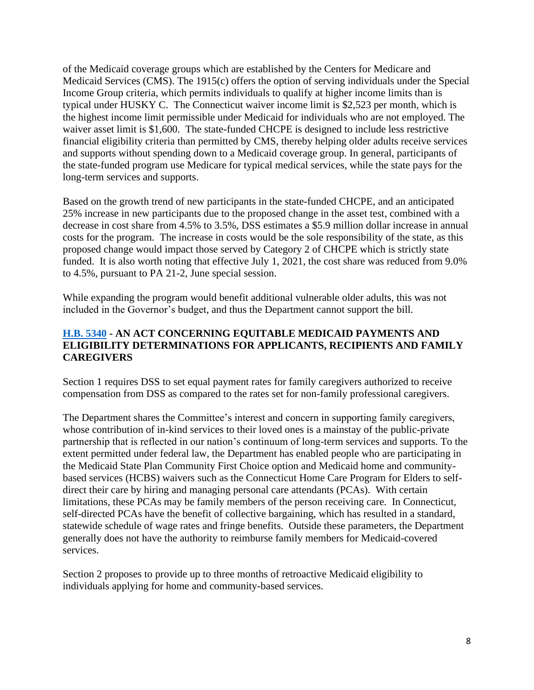of the Medicaid coverage groups which are established by the Centers for Medicare and Medicaid Services (CMS). The 1915(c) offers the option of serving individuals under the Special Income Group criteria, which permits individuals to qualify at higher income limits than is typical under HUSKY C. The Connecticut waiver income limit is \$2,523 per month, which is the highest income limit permissible under Medicaid for individuals who are not employed. The waiver asset limit is \$1,600. The state-funded CHCPE is designed to include less restrictive financial eligibility criteria than permitted by CMS, thereby helping older adults receive services and supports without spending down to a Medicaid coverage group. In general, participants of the state-funded program use Medicare for typical medical services, while the state pays for the long-term services and supports.

Based on the growth trend of new participants in the state-funded CHCPE, and an anticipated 25% increase in new participants due to the proposed change in the asset test, combined with a decrease in cost share from 4.5% to 3.5%, DSS estimates a \$5.9 million dollar increase in annual costs for the program. The increase in costs would be the sole responsibility of the state, as this proposed change would impact those served by Category 2 of CHCPE which is strictly state funded. It is also worth noting that effective July 1, 2021, the cost share was reduced from 9.0% to 4.5%, pursuant to PA 21-2, June special session.

While expanding the program would benefit additional vulnerable older adults, this was not included in the Governor's budget, and thus the Department cannot support the bill.

#### **[H.B. 5340](https://www.cga.ct.gov/asp/cgabillstatus/cgabillstatus.asp?selBillType=Bill&bill_num=HB-5340&uid=david.seifel@ct.gov) - AN ACT CONCERNING EQUITABLE MEDICAID PAYMENTS AND ELIGIBILITY DETERMINATIONS FOR APPLICANTS, RECIPIENTS AND FAMILY CAREGIVERS**

Section 1 requires DSS to set equal payment rates for family caregivers authorized to receive compensation from DSS as compared to the rates set for non-family professional caregivers.

The Department shares the Committee's interest and concern in supporting family caregivers, whose contribution of in-kind services to their loved ones is a mainstay of the public-private partnership that is reflected in our nation's continuum of long-term services and supports. To the extent permitted under federal law, the Department has enabled people who are participating in the Medicaid State Plan Community First Choice option and Medicaid home and communitybased services (HCBS) waivers such as the Connecticut Home Care Program for Elders to selfdirect their care by hiring and managing personal care attendants (PCAs). With certain limitations, these PCAs may be family members of the person receiving care. In Connecticut, self-directed PCAs have the benefit of collective bargaining, which has resulted in a standard, statewide schedule of wage rates and fringe benefits. Outside these parameters, the Department generally does not have the authority to reimburse family members for Medicaid-covered services.

Section 2 proposes to provide up to three months of retroactive Medicaid eligibility to individuals applying for home and community-based services.